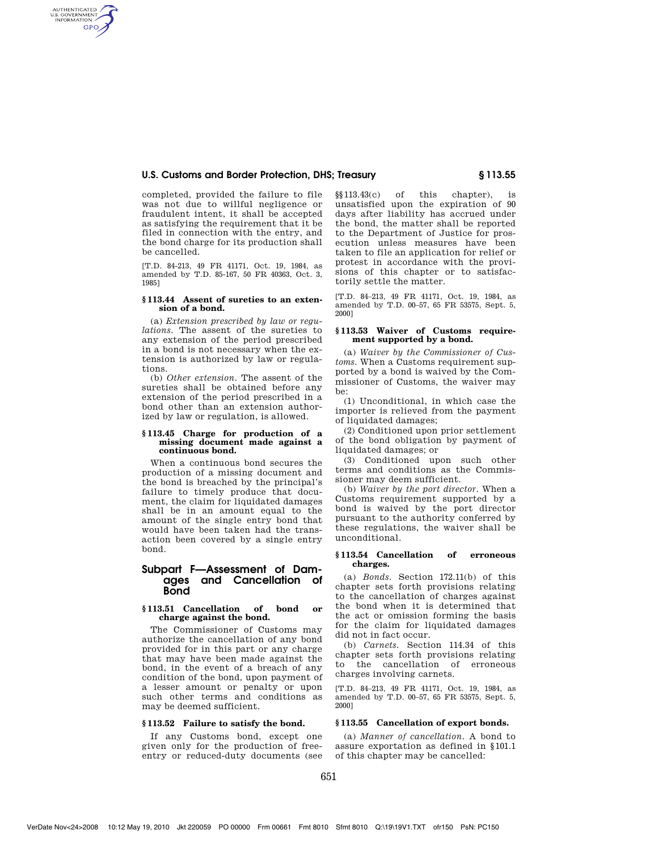# **U.S. Customs and Border Protection, DHS; Treasury § 113.55**

completed, provided the failure to file was not due to willful negligence or fraudulent intent, it shall be accepted as satisfying the requirement that it be filed in connection with the entry, and the bond charge for its production shall be cancelled.

AUTHENTICATED<br>U.S. GOVERNMENT<br>INFORMATION **GPO** 

> [T.D. 84-213, 49 FR 41171, Oct. 19, 1984, as amended by T.D. 85-167, 50 FR 40363, Oct. 3, 1985]

### **§ 113.44 Assent of sureties to an extension of a bond.**

(a) *Extension prescribed by law or regulations.* The assent of the sureties to any extension of the period prescribed in a bond is not necessary when the extension is authorized by law or regulations.

(b) *Other extension.* The assent of the sureties shall be obtained before any extension of the period prescribed in a bond other than an extension authorized by law or regulation, is allowed.

#### **§ 113.45 Charge for production of a missing document made against a continuous bond.**

When a continuous bond secures the production of a missing document and the bond is breached by the principal's failure to timely produce that document, the claim for liquidated damages shall be in an amount equal to the amount of the single entry bond that would have been taken had the transaction been covered by a single entry bond.

# **Subpart F—Assessment of Damages and Cancellation of Bond**

### **§ 113.51 Cancellation of bond or charge against the bond.**

The Commissioner of Customs may authorize the cancellation of any bond provided for in this part or any charge that may have been made against the bond, in the event of a breach of any condition of the bond, upon payment of a lesser amount or penalty or upon such other terms and conditions as may be deemed sufficient.

# **§ 113.52 Failure to satisfy the bond.**

If any Customs bond, except one given only for the production of freeentry or reduced-duty documents (see

§§113.43(c) of this chapter), is unsatisfied upon the expiration of 90 days after liability has accrued under the bond, the matter shall be reported to the Department of Justice for prosecution unless measures have been taken to file an application for relief or protest in accordance with the provisions of this chapter or to satisfactorily settle the matter.

[T.D. 84–213, 49 FR 41171, Oct. 19, 1984, as amended by T.D. 00–57, 65 FR 53575, Sept. 5, 2000]

# **§ 113.53 Waiver of Customs requirement supported by a bond.**

(a) *Waiver by the Commissioner of Customs.* When a Customs requirement supported by a bond is waived by the Commissioner of Customs, the waiver may be:

(1) Unconditional, in which case the importer is relieved from the payment of liquidated damages;

(2) Conditioned upon prior settlement of the bond obligation by payment of liquidated damages; or

(3) Conditioned upon such other terms and conditions as the Commissioner may deem sufficient.

(b) *Waiver by the port director.* When a Customs requirement supported by a bond is waived by the port director pursuant to the authority conferred by these regulations, the waiver shall be unconditional.

#### **§ 113.54 Cancellation of erroneous charges.**

(a) *Bonds.* Section 172.11(b) of this chapter sets forth provisions relating to the cancellation of charges against the bond when it is determined that the act or omission forming the basis for the claim for liquidated damages did not in fact occur.

(b) *Carnets.* Section 114.34 of this chapter sets forth provisions relating to the cancellation of erroneous charges involving carnets.

[T.D. 84–213, 49 FR 41171, Oct. 19, 1984, as amended by T.D. 00–57, 65 FR 53575, Sept. 5, 2000]

## **§ 113.55 Cancellation of export bonds.**

(a) *Manner of cancellation.* A bond to assure exportation as defined in §101.1 of this chapter may be cancelled: